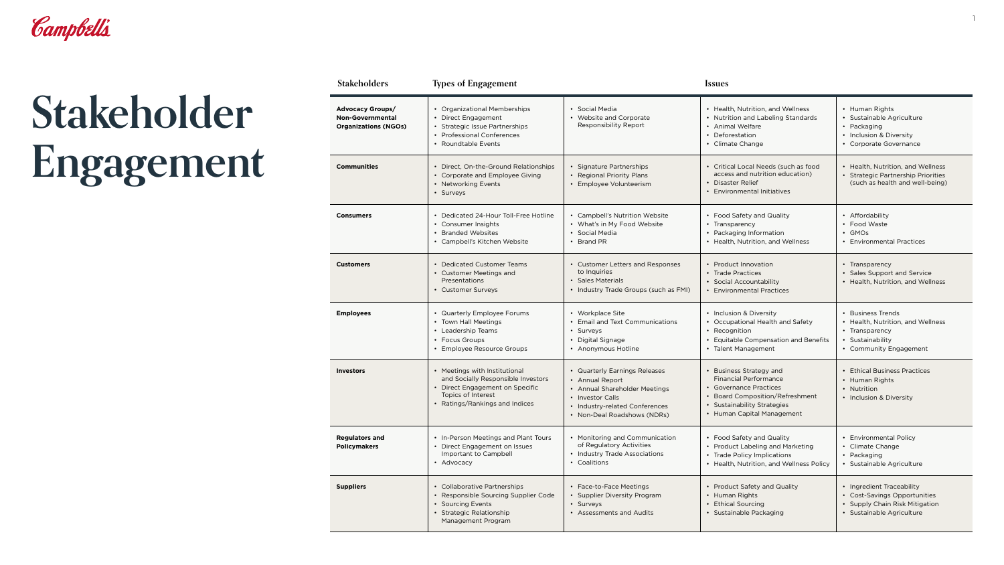

## **Stakeholder Engagement**

| <b>Stakeholders</b>                                                               | <b>Types of Engagement</b>                                                                                                                                     |                                                                                                                                                                        | <i><u><b>Issues</b></u></i>                                                                                                                                                                 |                                                                                                                             |
|-----------------------------------------------------------------------------------|----------------------------------------------------------------------------------------------------------------------------------------------------------------|------------------------------------------------------------------------------------------------------------------------------------------------------------------------|---------------------------------------------------------------------------------------------------------------------------------------------------------------------------------------------|-----------------------------------------------------------------------------------------------------------------------------|
| <b>Advocacy Groups/</b><br><b>Non-Governmental</b><br><b>Organizations (NGOs)</b> | • Organizational Memberships<br>• Direct Engagement<br>• Strategic Issue Partnerships<br>• Professional Conferences<br>• Roundtable Events                     | • Social Media<br>• Website and Corporate<br>Responsibility Report                                                                                                     | • Health, Nutrition, and Wellness<br>• Nutrition and Labeling Standards<br>• Animal Welfare<br>• Deforestation<br>• Climate Change                                                          | • Human Rights<br>· Sustainable Agriculture<br>• Packaging<br>• Inclusion & Diversity<br>• Corporate Governance             |
| <b>Communities</b>                                                                | • Direct, On-the-Ground Relationships<br>• Corporate and Employee Giving<br>• Networking Events<br>• Surveys                                                   | • Signature Partnerships<br>• Regional Priority Plans<br>• Employee Volunteerism                                                                                       | • Critical Local Needs (such as food<br>access and nutrition education)<br>• Disaster Relief<br><b>Environmental Initiatives</b>                                                            | • Health, Nutrition, and Wellness<br>• Strategic Partnership Priorities<br>(such as health and well-being)                  |
| <b>Consumers</b>                                                                  | • Dedicated 24-Hour Toll-Free Hotline<br>• Consumer Insights<br><b>Branded Websites</b><br>• Campbell's Kitchen Website                                        | • Campbell's Nutrition Website<br>• What's in My Food Website<br>• Social Media<br>• Brand PR                                                                          | • Food Safety and Quality<br>• Transparency<br>• Packaging Information<br>• Health, Nutrition, and Wellness                                                                                 | • Affordability<br>• Food Waste<br>• GMOs<br>• Environmental Practices                                                      |
| <b>Customers</b>                                                                  | • Dedicated Customer Teams<br>• Customer Meetings and<br>Presentations<br>• Customer Surveys                                                                   | • Customer Letters and Responses<br>to Inquiries<br>• Sales Materials<br>• Industry Trade Groups (such as FMI)                                                         | • Product Innovation<br>• Trade Practices<br>• Social Accountability<br><b>Environmental Practices</b>                                                                                      | • Transparency<br>• Sales Support and Service<br>• Health, Nutrition, and Wellness                                          |
| <b>Employees</b>                                                                  | • Quarterly Employee Forums<br>• Town Hall Meetings<br>• Leadership Teams<br>• Focus Groups<br>Employee Resource Groups                                        | • Workplace Site<br>• Email and Text Communications<br>• Surveys<br>• Digital Signage<br>• Anonymous Hotline                                                           | • Inclusion & Diversity<br>• Occupational Health and Safety<br>• Recognition<br>• Equitable Compensation and Benefits<br>• Talent Management                                                | <b>Business Trends</b><br>• Health, Nutrition, and Wellness<br>• Transparency<br>• Sustainability<br>• Community Engagement |
| <b>Investors</b>                                                                  | • Meetings with Institutional<br>and Socially Responsible Investors<br>• Direct Engagement on Specific<br>Topics of Interest<br>• Ratings/Rankings and Indices | • Quarterly Earnings Releases<br>• Annual Report<br>• Annual Shareholder Meetings<br>• Investor Calls<br>• Industry-related Conferences<br>• Non-Deal Roadshows (NDRs) | <b>Business Strategy and</b><br><b>Financial Performance</b><br>• Governance Practices<br><b>Board Composition/Refreshment</b><br>• Sustainability Strategies<br>• Human Capital Management | <b>Ethical Business Practices</b><br>• Human Rights<br>• Nutrition<br>• Inclusion & Diversity                               |
| <b>Regulators and</b><br><b>Policymakers</b>                                      | • In-Person Meetings and Plant Tours<br>• Direct Engagement on Issues<br>Important to Campbell<br>• Advocacy                                                   | • Monitoring and Communication<br>of Regulatory Activities<br>• Industry Trade Associations<br>• Coalitions                                                            | • Food Safety and Quality<br>• Product Labeling and Marketing<br>• Trade Policy Implications<br>• Health, Nutrition, and Wellness Policy                                                    | <b>Environmental Policy</b><br>Climate Change<br>• Packaging<br>· Sustainable Agriculture                                   |
| <b>Suppliers</b>                                                                  | • Collaborative Partnerships<br>• Responsible Sourcing Supplier Code<br>• Sourcing Events<br>• Strategic Relationship<br>Management Program                    | • Face-to-Face Meetings<br>• Supplier Diversity Program<br>• Surveys<br>• Assessments and Audits                                                                       | <b>Product Safety and Quality</b><br>• Human Rights<br><b>Ethical Sourcing</b><br>Sustainable Packaging                                                                                     | Ingredient Traceability<br>• Cost-Savings Opportunities<br>• Supply Chain Risk Mitigation<br>· Sustainable Agriculture      |